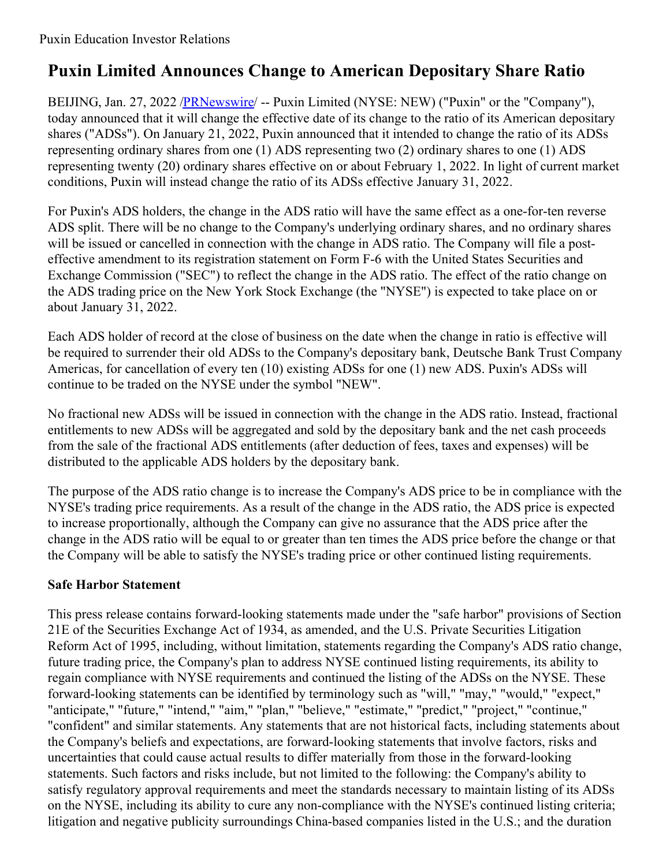## **Puxin Limited Announces Change to American Depositary Share Ratio**

BEIJING, Jan. 27, 2022 [/PRNewswire](http://www.prnewswire.com/)/ -- Puxin Limited (NYSE: NEW) ("Puxin" or the "Company"), today announced that it will change the effective date of its change to the ratio of its American depositary shares ("ADSs"). On January 21, 2022, Puxin announced that it intended to change the ratio of its ADSs representing ordinary shares from one (1) ADS representing two (2) ordinary shares to one (1) ADS representing twenty (20) ordinary shares effective on or about February 1, 2022. In light of current market conditions, Puxin will instead change the ratio of its ADSs effective January 31, 2022.

For Puxin's ADS holders, the change in the ADS ratio will have the same effect as a one-for-ten reverse ADS split. There will be no change to the Company's underlying ordinary shares, and no ordinary shares will be issued or cancelled in connection with the change in ADS ratio. The Company will file a posteffective amendment to its registration statement on Form F-6 with the United States Securities and Exchange Commission ("SEC") to reflect the change in the ADS ratio. The effect of the ratio change on the ADS trading price on the New York Stock Exchange (the "NYSE") is expected to take place on or about January 31, 2022.

Each ADS holder of record at the close of business on the date when the change in ratio is effective will be required to surrender their old ADSs to the Company's depositary bank, Deutsche Bank Trust Company Americas, for cancellation of every ten (10) existing ADSs for one (1) new ADS. Puxin's ADSs will continue to be traded on the NYSE under the symbol "NEW".

No fractional new ADSs will be issued in connection with the change in the ADS ratio. Instead, fractional entitlements to new ADSs will be aggregated and sold by the depositary bank and the net cash proceeds from the sale of the fractional ADS entitlements (after deduction of fees, taxes and expenses) will be distributed to the applicable ADS holders by the depositary bank.

The purpose of the ADS ratio change is to increase the Company's ADS price to be in compliance with the NYSE's trading price requirements. As a result of the change in the ADS ratio, the ADS price is expected to increase proportionally, although the Company can give no assurance that the ADS price after the change in the ADS ratio will be equal to or greater than ten times the ADS price before the change or that the Company will be able to satisfy the NYSE's trading price or other continued listing requirements.

## **Safe Harbor Statement**

This press release contains forward-looking statements made under the "safe harbor" provisions of Section 21E of the Securities Exchange Act of 1934, as amended, and the U.S. Private Securities Litigation Reform Act of 1995, including, without limitation, statements regarding the Company's ADS ratio change, future trading price, the Company's plan to address NYSE continued listing requirements, its ability to regain compliance with NYSE requirements and continued the listing of the ADSs on the NYSE. These forward-looking statements can be identified by terminology such as "will," "may," "would," "expect," "anticipate," "future," "intend," "aim," "plan," "believe," "estimate," "predict," "project," "continue," "confident" and similar statements. Any statements that are not historical facts, including statements about the Company's beliefs and expectations, are forward-looking statements that involve factors, risks and uncertainties that could cause actual results to differ materially from those in the forward-looking statements. Such factors and risks include, but not limited to the following: the Company's ability to satisfy regulatory approval requirements and meet the standards necessary to maintain listing of its ADSs on the NYSE, including its ability to cure any non-compliance with the NYSE's continued listing criteria; litigation and negative publicity surroundings China-based companies listed in the U.S.; and the duration